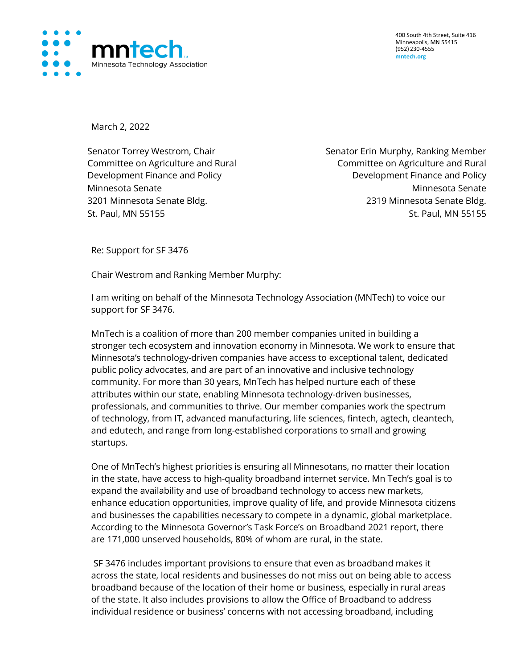

400 South 4th Street, Suite 416 Minneapolis, MN 55415 (952) 230-4555 **mntech.org**

March 2, 2022

Committee on Agriculture and Rural Development Finance and Policy

Senator Torrey Westrom, Chair Senator Erin Murphy, Ranking Member Committee on Agriculture and Rural Development Finance and Policy Minnesota Senate Minnesota Senate 3201 Minnesota Senate Bldg. 2319 Minnesota Senate Bldg. St. Paul, MN 55155 St. Paul, MN 55155

Re: Support for SF 3476

Chair Westrom and Ranking Member Murphy:

I am writing on behalf of the Minnesota Technology Association (MNTech) to voice our support for SF 3476.

MnTech is a coalition of more than 200 member companies united in building a stronger tech ecosystem and innovation economy in Minnesota. We work to ensure that Minnesota's technology-driven companies have access to exceptional talent, dedicated public policy advocates, and are part of an innovative and inclusive technology community. For more than 30 years, MnTech has helped nurture each of these attributes within our state, enabling Minnesota technology-driven businesses, professionals, and communities to thrive. Our member companies work the spectrum of technology, from IT, advanced manufacturing, life sciences, fintech, agtech, cleantech, and edutech, and range from long-established corporations to small and growing startups.

One of MnTech's highest priorities is ensuring all Minnesotans, no matter their location in the state, have access to high-quality broadband internet service. Mn Tech's goal is to expand the availability and use of broadband technology to access new markets, enhance education opportunities, improve quality of life, and provide Minnesota citizens and businesses the capabilities necessary to compete in a dynamic, global marketplace. According to the Minnesota Governor's Task Force's on Broadband 2021 report, there are 171,000 unserved households, 80% of whom are rural, in the state.

SF 3476 includes important provisions to ensure that even as broadband makes it across the state, local residents and businesses do not miss out on being able to access broadband because of the location of their home or business, especially in rural areas of the state. It also includes provisions to allow the Office of Broadband to address individual residence or business' concerns with not accessing broadband, including